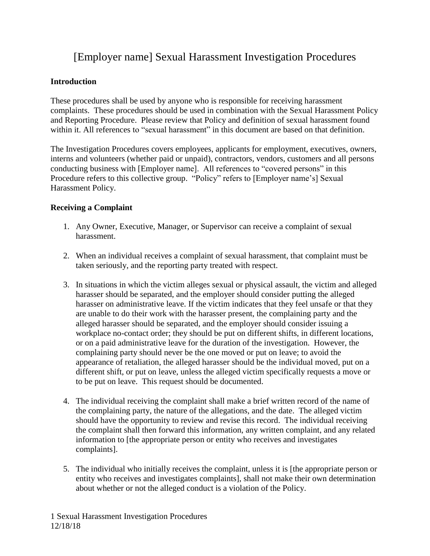# [Employer name] Sexual Harassment Investigation Procedures

# **Introduction**

These procedures shall be used by anyone who is responsible for receiving harassment complaints. These procedures should be used in combination with the Sexual Harassment Policy and Reporting Procedure. Please review that Policy and definition of sexual harassment found within it. All references to "sexual harassment" in this document are based on that definition.

The Investigation Procedures covers employees, applicants for employment, executives, owners, interns and volunteers (whether paid or unpaid), contractors, vendors, customers and all persons conducting business with [Employer name]. All references to "covered persons" in this Procedure refers to this collective group. "Policy" refers to [Employer name's] Sexual Harassment Policy.

## **Receiving a Complaint**

- 1. Any Owner, Executive, Manager, or Supervisor can receive a complaint of sexual harassment.
- 2. When an individual receives a complaint of sexual harassment, that complaint must be taken seriously, and the reporting party treated with respect.
- 3. In situations in which the victim alleges sexual or physical assault, the victim and alleged harasser should be separated, and the employer should consider putting the alleged harasser on administrative leave. If the victim indicates that they feel unsafe or that they are unable to do their work with the harasser present, the complaining party and the alleged harasser should be separated, and the employer should consider issuing a workplace no-contact order; they should be put on different shifts, in different locations, or on a paid administrative leave for the duration of the investigation. However, the complaining party should never be the one moved or put on leave; to avoid the appearance of retaliation, the alleged harasser should be the individual moved, put on a different shift, or put on leave, unless the alleged victim specifically requests a move or to be put on leave. This request should be documented.
- 4. The individual receiving the complaint shall make a brief written record of the name of the complaining party, the nature of the allegations, and the date. The alleged victim should have the opportunity to review and revise this record. The individual receiving the complaint shall then forward this information, any written complaint, and any related information to [the appropriate person or entity who receives and investigates complaints].
- 5. The individual who initially receives the complaint, unless it is [the appropriate person or entity who receives and investigates complaints], shall not make their own determination about whether or not the alleged conduct is a violation of the Policy.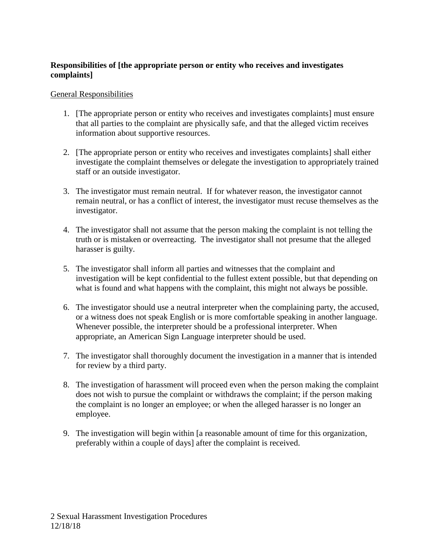## **Responsibilities of [the appropriate person or entity who receives and investigates complaints]**

### General Responsibilities

- 1. [The appropriate person or entity who receives and investigates complaints] must ensure that all parties to the complaint are physically safe, and that the alleged victim receives information about supportive resources.
- 2. [The appropriate person or entity who receives and investigates complaints] shall either investigate the complaint themselves or delegate the investigation to appropriately trained staff or an outside investigator.
- 3. The investigator must remain neutral. If for whatever reason, the investigator cannot remain neutral, or has a conflict of interest, the investigator must recuse themselves as the investigator.
- 4. The investigator shall not assume that the person making the complaint is not telling the truth or is mistaken or overreacting. The investigator shall not presume that the alleged harasser is guilty.
- 5. The investigator shall inform all parties and witnesses that the complaint and investigation will be kept confidential to the fullest extent possible, but that depending on what is found and what happens with the complaint, this might not always be possible.
- 6. The investigator should use a neutral interpreter when the complaining party, the accused, or a witness does not speak English or is more comfortable speaking in another language. Whenever possible, the interpreter should be a professional interpreter. When appropriate, an American Sign Language interpreter should be used.
- 7. The investigator shall thoroughly document the investigation in a manner that is intended for review by a third party.
- 8. The investigation of harassment will proceed even when the person making the complaint does not wish to pursue the complaint or withdraws the complaint; if the person making the complaint is no longer an employee; or when the alleged harasser is no longer an employee.
- 9. The investigation will begin within [a reasonable amount of time for this organization, preferably within a couple of days] after the complaint is received.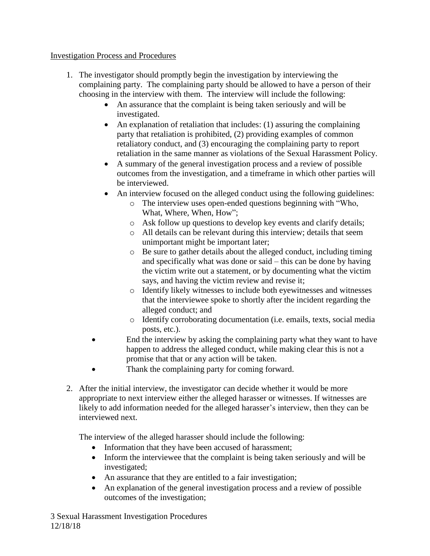## Investigation Process and Procedures

- 1. The investigator should promptly begin the investigation by interviewing the complaining party. The complaining party should be allowed to have a person of their choosing in the interview with them. The interview will include the following:
	- An assurance that the complaint is being taken seriously and will be investigated.
	- An explanation of retaliation that includes: (1) assuring the complaining party that retaliation is prohibited, (2) providing examples of common retaliatory conduct, and (3) encouraging the complaining party to report retaliation in the same manner as violations of the Sexual Harassment Policy.
	- A summary of the general investigation process and a review of possible outcomes from the investigation, and a timeframe in which other parties will be interviewed.
	- An interview focused on the alleged conduct using the following guidelines:
		- o The interview uses open-ended questions beginning with "Who, What, Where, When, How";
		- o Ask follow up questions to develop key events and clarify details;
		- o All details can be relevant during this interview; details that seem unimportant might be important later;
		- o Be sure to gather details about the alleged conduct, including timing and specifically what was done or said – this can be done by having the victim write out a statement, or by documenting what the victim says, and having the victim review and revise it;
		- o Identify likely witnesses to include both eyewitnesses and witnesses that the interviewee spoke to shortly after the incident regarding the alleged conduct; and
		- o Identify corroborating documentation (i.e. emails, texts, social media posts, etc.).
	- End the interview by asking the complaining party what they want to have happen to address the alleged conduct, while making clear this is not a promise that that or any action will be taken.
		- Thank the complaining party for coming forward.
- 2. After the initial interview, the investigator can decide whether it would be more appropriate to next interview either the alleged harasser or witnesses. If witnesses are likely to add information needed for the alleged harasser's interview, then they can be interviewed next.

The interview of the alleged harasser should include the following:

- Information that they have been accused of harassment;
- Inform the interviewee that the complaint is being taken seriously and will be investigated;
- An assurance that they are entitled to a fair investigation;
- An explanation of the general investigation process and a review of possible outcomes of the investigation;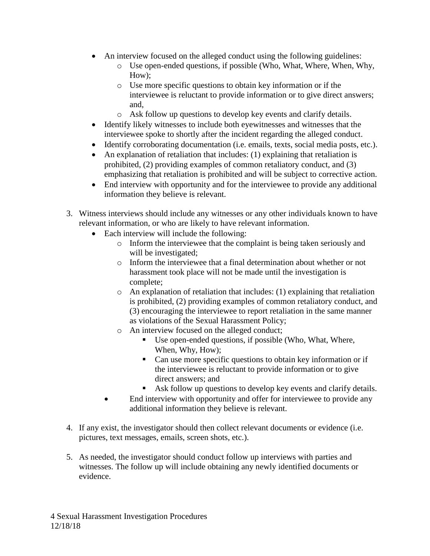- An interview focused on the alleged conduct using the following guidelines:
	- o Use open-ended questions, if possible (Who, What, Where, When, Why, How);
	- o Use more specific questions to obtain key information or if the interviewee is reluctant to provide information or to give direct answers; and,
	- o Ask follow up questions to develop key events and clarify details.
- Identify likely witnesses to include both eyewitnesses and witnesses that the interviewee spoke to shortly after the incident regarding the alleged conduct.
- Identify corroborating documentation (i.e. emails, texts, social media posts, etc.).
- An explanation of retaliation that includes: (1) explaining that retaliation is prohibited, (2) providing examples of common retaliatory conduct, and (3) emphasizing that retaliation is prohibited and will be subject to corrective action.
- End interview with opportunity and for the interviewee to provide any additional information they believe is relevant.
- 3. Witness interviews should include any witnesses or any other individuals known to have relevant information, or who are likely to have relevant information.
	- Each interview will include the following:
		- o Inform the interviewee that the complaint is being taken seriously and will be investigated;
		- o Inform the interviewee that a final determination about whether or not harassment took place will not be made until the investigation is complete;
		- o An explanation of retaliation that includes: (1) explaining that retaliation is prohibited, (2) providing examples of common retaliatory conduct, and (3) encouraging the interviewee to report retaliation in the same manner as violations of the Sexual Harassment Policy;
		- o An interview focused on the alleged conduct;
			- Use open-ended questions, if possible (Who, What, Where, When, Why, How);
			- Can use more specific questions to obtain key information or if the interviewee is reluctant to provide information or to give direct answers; and
			- Ask follow up questions to develop key events and clarify details.
		- End interview with opportunity and offer for interviewee to provide any additional information they believe is relevant.
- 4. If any exist, the investigator should then collect relevant documents or evidence (i.e. pictures, text messages, emails, screen shots, etc.).
- 5. As needed, the investigator should conduct follow up interviews with parties and witnesses. The follow up will include obtaining any newly identified documents or evidence.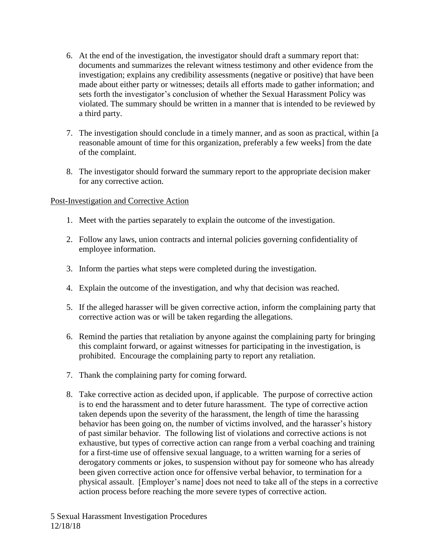- 6. At the end of the investigation, the investigator should draft a summary report that: documents and summarizes the relevant witness testimony and other evidence from the investigation; explains any credibility assessments (negative or positive) that have been made about either party or witnesses; details all efforts made to gather information; and sets forth the investigator's conclusion of whether the Sexual Harassment Policy was violated. The summary should be written in a manner that is intended to be reviewed by a third party.
- 7. The investigation should conclude in a timely manner, and as soon as practical, within [a reasonable amount of time for this organization, preferably a few weeks] from the date of the complaint.
- 8. The investigator should forward the summary report to the appropriate decision maker for any corrective action.

## Post-Investigation and Corrective Action

- 1. Meet with the parties separately to explain the outcome of the investigation.
- 2. Follow any laws, union contracts and internal policies governing confidentiality of employee information.
- 3. Inform the parties what steps were completed during the investigation.
- 4. Explain the outcome of the investigation, and why that decision was reached.
- 5. If the alleged harasser will be given corrective action, inform the complaining party that corrective action was or will be taken regarding the allegations.
- 6. Remind the parties that retaliation by anyone against the complaining party for bringing this complaint forward, or against witnesses for participating in the investigation, is prohibited. Encourage the complaining party to report any retaliation.
- 7. Thank the complaining party for coming forward.
- 8. Take corrective action as decided upon, if applicable. The purpose of corrective action is to end the harassment and to deter future harassment. The type of corrective action taken depends upon the severity of the harassment, the length of time the harassing behavior has been going on, the number of victims involved, and the harasser's history of past similar behavior. The following list of violations and corrective actions is not exhaustive, but types of corrective action can range from a verbal coaching and training for a first-time use of offensive sexual language, to a written warning for a series of derogatory comments or jokes, to suspension without pay for someone who has already been given corrective action once for offensive verbal behavior, to termination for a physical assault. [Employer's name] does not need to take all of the steps in a corrective action process before reaching the more severe types of corrective action.